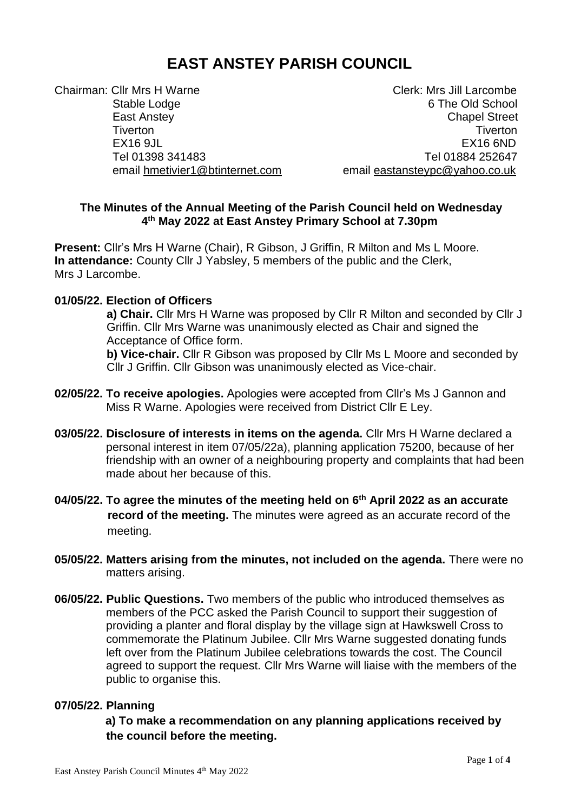# **EAST ANSTEY PARISH COUNCIL**

Chairman: Cllr Mrs H Warne Chairman: Clerk: Mrs Jill Larcombe Tiverton Tiverton EX16 9JL EX16 6ND

Stable Lodge 6 The Old School 6 The Old School East Anstey Chapel Street Tel 01398 341483 Tel 01884 252647 email [hmetivier1@btinternet.com](mailto:hmetivier1@btinternet.com) email [eastansteypc@yahoo.co.uk](mailto:eastansteypc@yahoo.co.uk)

## **The Minutes of the Annual Meeting of the Parish Council held on Wednesday 4 th May 2022 at East Anstey Primary School at 7.30pm**

**Present:** Cllr's Mrs H Warne (Chair), R Gibson, J Griffin, R Milton and Ms L Moore. **In attendance:** County Cllr J Yabsley, 5 members of the public and the Clerk, Mrs J Larcombe.

## **01/05/22. Election of Officers**

**a) Chair.** Cllr Mrs H Warne was proposed by Cllr R Milton and seconded by Cllr J Griffin. Cllr Mrs Warne was unanimously elected as Chair and signed the Acceptance of Office form.

**b) Vice-chair.** Cllr R Gibson was proposed by Cllr Ms L Moore and seconded by Cllr J Griffin. Cllr Gibson was unanimously elected as Vice-chair.

- **02/05/22. To receive apologies.** Apologies were accepted from Cllr's Ms J Gannon and Miss R Warne. Apologies were received from District Cllr E Ley.
- **03/05/22. Disclosure of interests in items on the agenda.** Cllr Mrs H Warne declared a personal interest in item 07/05/22a), planning application 75200, because of her friendship with an owner of a neighbouring property and complaints that had been made about her because of this.
- **04/05/22. To agree the minutes of the meeting held on 6 th April 2022 as an accurate record of the meeting.** The minutes were agreed as an accurate record of the meeting.
- **05/05/22. Matters arising from the minutes, not included on the agenda.** There were no matters arising.
- **06/05/22. Public Questions.** Two members of the public who introduced themselves as members of the PCC asked the Parish Council to support their suggestion of providing a planter and floral display by the village sign at Hawkswell Cross to commemorate the Platinum Jubilee. Cllr Mrs Warne suggested donating funds left over from the Platinum Jubilee celebrations towards the cost. The Council agreed to support the request. Cllr Mrs Warne will liaise with the members of the public to organise this.

#### **07/05/22. Planning**

 **a) To make a recommendation on any planning applications received by the council before the meeting.**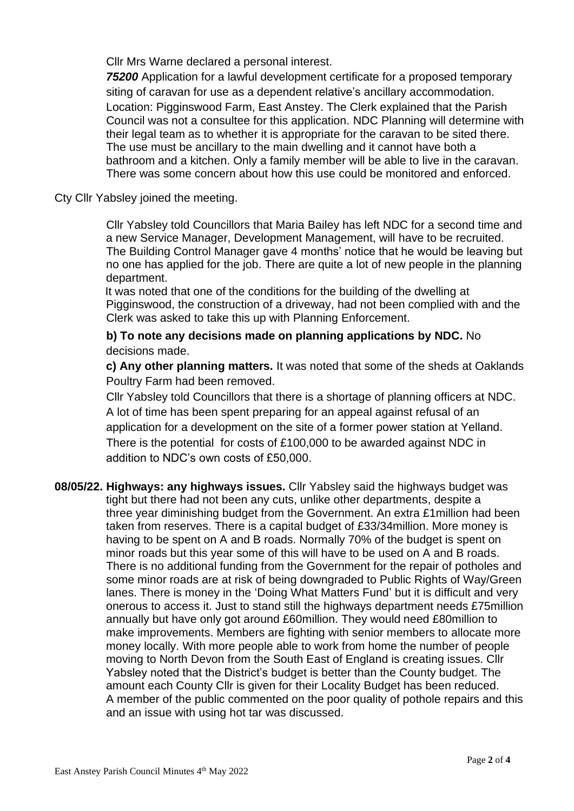Cllr Mrs Warne declared a personal interest.

 *75200* Application for a lawful development certificate for a proposed temporary siting of caravan for use as a dependent relative's ancillary accommodation. Location: Pigginswood Farm, East Anstey. The Clerk explained that the Parish Council was not a consultee for this application. NDC Planning will determine with their legal team as to whether it is appropriate for the caravan to be sited there. The use must be ancillary to the main dwelling and it cannot have both a bathroom and a kitchen. Only a family member will be able to live in the caravan. There was some concern about how this use could be monitored and enforced.

## Cty Cllr Yabsley joined the meeting.

 Cllr Yabsley told Councillors that Maria Bailey has left NDC for a second time and a new Service Manager, Development Management, will have to be recruited. The Building Control Manager gave 4 months' notice that he would be leaving but no one has applied for the job. There are quite a lot of new people in the planning department.

 It was noted that one of the conditions for the building of the dwelling at Pigginswood, the construction of a driveway, had not been complied with and the Clerk was asked to take this up with Planning Enforcement.

# **b) To note any decisions made on planning applications by NDC.** No decisions made.

 **c) Any other planning matters.** It was noted that some of the sheds at Oaklands Poultry Farm had been removed.

 Cllr Yabsley told Councillors that there is a shortage of planning officers at NDC. A lot of time has been spent preparing for an appeal against refusal of an application for a development on the site of a former power station at Yelland. There is the potential for costs of £100,000 to be awarded against NDC in addition to NDC's own costs of £50,000.

### **08/05/22. Highways: any highways issues.** Cllr Yabsley said the highways budget was tight but there had not been any cuts, unlike other departments, despite a three year diminishing budget from the Government. An extra £1million had been taken from reserves. There is a capital budget of £33/34million. More money is having to be spent on A and B roads. Normally 70% of the budget is spent on minor roads but this year some of this will have to be used on A and B roads. There is no additional funding from the Government for the repair of potholes and some minor roads are at risk of being downgraded to Public Rights of Way/Green lanes. There is money in the 'Doing What Matters Fund' but it is difficult and very onerous to access it. Just to stand still the highways department needs £75million annually but have only got around £60million. They would need £80million to make improvements. Members are fighting with senior members to allocate more money locally. With more people able to work from home the number of people moving to North Devon from the South East of England is creating issues. Cllr Yabsley noted that the District's budget is better than the County budget. The amount each County Cllr is given for their Locality Budget has been reduced. A member of the public commented on the poor quality of pothole repairs and this and an issue with using hot tar was discussed.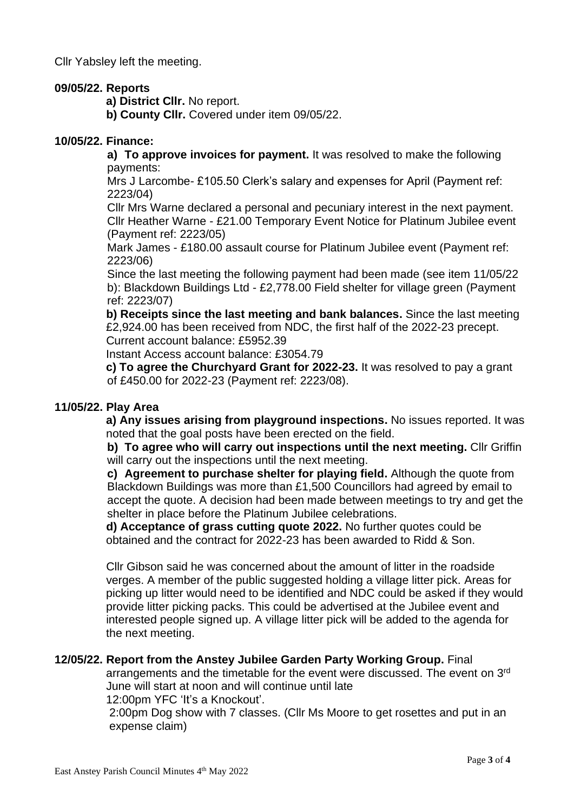Cllr Yabsley left the meeting.

#### **09/05/22. Reports**

 **a) District Cllr.** No report.

 **b) County Cllr.** Covered under item 09/05/22.

#### **10/05/22. Finance:**

**a) To approve invoices for payment.** It was resolved to make the following payments:

Mrs J Larcombe- £105.50 Clerk's salary and expenses for April (Payment ref: 2223/04)

Cllr Mrs Warne declared a personal and pecuniary interest in the next payment. Cllr Heather Warne - £21.00 Temporary Event Notice for Platinum Jubilee event (Payment ref: 2223/05)

Mark James - £180.00 assault course for Platinum Jubilee event (Payment ref: 2223/06)

Since the last meeting the following payment had been made (see item 11/05/22 b): Blackdown Buildings Ltd - £2,778.00 Field shelter for village green (Payment ref: 2223/07)

 **b) Receipts since the last meeting and bank balances.** Since the last meeting £2,924.00 has been received from NDC, the first half of the 2022-23 precept. Current account balance: £5952.39

Instant Access account balance: £3054.79

 **c) To agree the Churchyard Grant for 2022-23.** It was resolved to pay a grant of £450.00 for 2022-23 (Payment ref: 2223/08).

#### **11/05/22. Play Area**

 **a) Any issues arising from playground inspections.** No issues reported. It was noted that the goal posts have been erected on the field.

**b) To agree who will carry out inspections until the next meeting.** Cllr Griffin will carry out the inspections until the next meeting.

**c) Agreement to purchase shelter for playing field.** Although the quote from Blackdown Buildings was more than £1,500 Councillors had agreed by email to accept the quote. A decision had been made between meetings to try and get the shelter in place before the Platinum Jubilee celebrations.

 **d) Acceptance of grass cutting quote 2022.** No further quotes could be obtained and the contract for 2022-23 has been awarded to Ridd & Son.

 Cllr Gibson said he was concerned about the amount of litter in the roadside verges. A member of the public suggested holding a village litter pick. Areas for picking up litter would need to be identified and NDC could be asked if they would provide litter picking packs. This could be advertised at the Jubilee event and interested people signed up. A village litter pick will be added to the agenda for the next meeting.

## **12/05/22. Report from the Anstey Jubilee Garden Party Working Group.** Final

arrangements and the timetable for the event were discussed. The event on 3<sup>rd</sup> June will start at noon and will continue until late

12:00pm YFC 'It's a Knockout'.

 2:00pm Dog show with 7 classes. (Cllr Ms Moore to get rosettes and put in an expense claim)